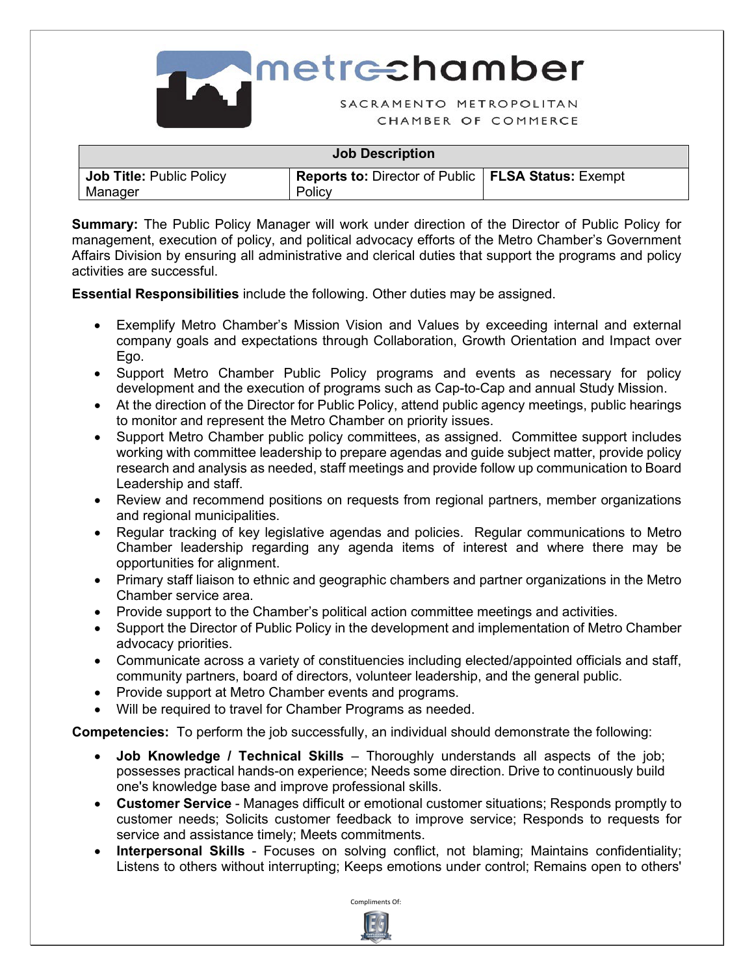

| <b>Job Description</b>                     |                                                                       |  |  |
|--------------------------------------------|-----------------------------------------------------------------------|--|--|
| <b>Job Title: Public Policy</b><br>Manager | <b>Reports to: Director of Public   FLSA Status: Exempt</b><br>Policy |  |  |

**Summary:** The Public Policy Manager will work under direction of the Director of Public Policy for management, execution of policy, and political advocacy efforts of the Metro Chamber's Government Affairs Division by ensuring all administrative and clerical duties that support the programs and policy activities are successful.

**Essential Responsibilities** include the following. Other duties may be assigned.

- Exemplify Metro Chamber's Mission Vision and Values by exceeding internal and external company goals and expectations through Collaboration, Growth Orientation and Impact over Ego.
- Support Metro Chamber Public Policy programs and events as necessary for policy development and the execution of programs such as Cap-to-Cap and annual Study Mission.
- At the direction of the Director for Public Policy, attend public agency meetings, public hearings to monitor and represent the Metro Chamber on priority issues.
- Support Metro Chamber public policy committees, as assigned. Committee support includes working with committee leadership to prepare agendas and guide subject matter, provide policy research and analysis as needed, staff meetings and provide follow up communication to Board Leadership and staff.
- Review and recommend positions on requests from regional partners, member organizations and regional municipalities.
- Regular tracking of key legislative agendas and policies. Regular communications to Metro Chamber leadership regarding any agenda items of interest and where there may be opportunities for alignment.
- Primary staff liaison to ethnic and geographic chambers and partner organizations in the Metro Chamber service area.
- Provide support to the Chamber's political action committee meetings and activities.
- Support the Director of Public Policy in the development and implementation of Metro Chamber advocacy priorities.
- Communicate across a variety of constituencies including elected/appointed officials and staff, community partners, board of directors, volunteer leadership, and the general public.
- Provide support at Metro Chamber events and programs.
- Will be required to travel for Chamber Programs as needed.

**Competencies:** To perform the job successfully, an individual should demonstrate the following:

- **Job Knowledge / Technical Skills** Thoroughly understands all aspects of the job; possesses practical hands-on experience; Needs some direction. Drive to continuously build one's knowledge base and improve professional skills.
- **Customer Service** Manages difficult or emotional customer situations; Responds promptly to customer needs; Solicits customer feedback to improve service; Responds to requests for service and assistance timely; Meets commitments.
- **Interpersonal Skills** Focuses on solving conflict, not blaming; Maintains confidentiality; Listens to others without interrupting; Keeps emotions under control; Remains open to others'

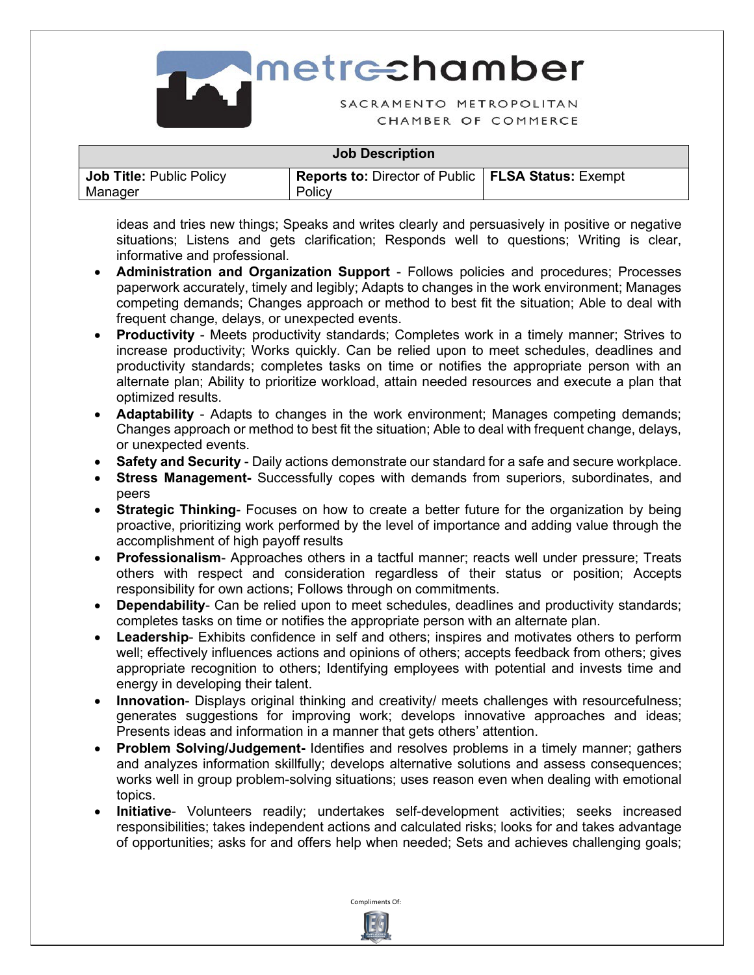

**Imetrechamber** SACRAMENTO METROPOLITAN

CHAMBER OF COMMERCE

## **Job Description**

| Job Title: Public Policy | I Reports to: Director of Public   FLSA Status: Exempt |  |
|--------------------------|--------------------------------------------------------|--|
| Manager                  | Policy                                                 |  |

ideas and tries new things; Speaks and writes clearly and persuasively in positive or negative situations; Listens and gets clarification; Responds well to questions; Writing is clear, informative and professional.

- **Administration and Organization Support** Follows policies and procedures; Processes paperwork accurately, timely and legibly; Adapts to changes in the work environment; Manages competing demands; Changes approach or method to best fit the situation; Able to deal with frequent change, delays, or unexpected events.
- **Productivity** Meets productivity standards; Completes work in a timely manner; Strives to increase productivity; Works quickly. Can be relied upon to meet schedules, deadlines and productivity standards; completes tasks on time or notifies the appropriate person with an alternate plan; Ability to prioritize workload, attain needed resources and execute a plan that optimized results.
- **Adaptability**  Adapts to changes in the work environment; Manages competing demands; Changes approach or method to best fit the situation; Able to deal with frequent change, delays, or unexpected events.
- **Safety and Security** Daily actions demonstrate our standard for a safe and secure workplace.
- **Stress Management-** Successfully copes with demands from superiors, subordinates, and peers
- **Strategic Thinking** Focuses on how to create a better future for the organization by being proactive, prioritizing work performed by the level of importance and adding value through the accomplishment of high payoff results
- **Professionalism** Approaches others in a tactful manner; reacts well under pressure; Treats others with respect and consideration regardless of their status or position; Accepts responsibility for own actions; Follows through on commitments.
- **Dependability** Can be relied upon to meet schedules, deadlines and productivity standards; completes tasks on time or notifies the appropriate person with an alternate plan.
- **Leadership** Exhibits confidence in self and others; inspires and motivates others to perform well; effectively influences actions and opinions of others; accepts feedback from others; gives appropriate recognition to others; Identifying employees with potential and invests time and energy in developing their talent.
- **Innovation** Displays original thinking and creativity/ meets challenges with resourcefulness; generates suggestions for improving work; develops innovative approaches and ideas; Presents ideas and information in a manner that gets others' attention.
- **Problem Solving/Judgement-** Identifies and resolves problems in a timely manner; gathers and analyzes information skillfully; develops alternative solutions and assess consequences; works well in group problem-solving situations; uses reason even when dealing with emotional topics.
- **Initiative** Volunteers readily; undertakes self-development activities; seeks increased responsibilities; takes independent actions and calculated risks; looks for and takes advantage of opportunities; asks for and offers help when needed; Sets and achieves challenging goals;

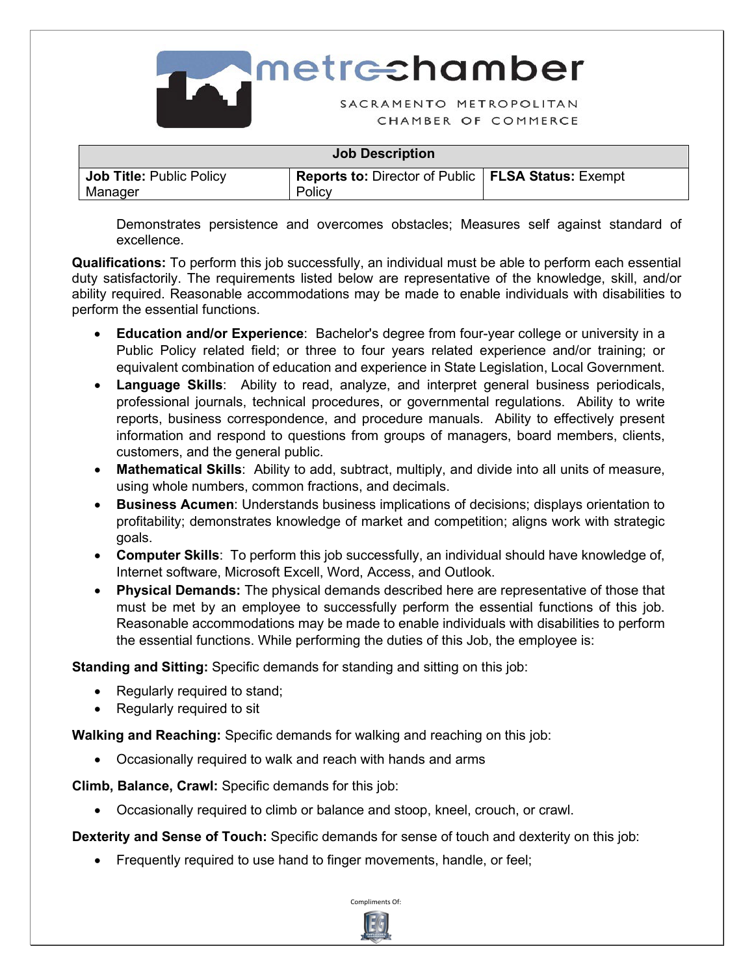

| <b>Job Description</b>                     |                                                                       |  |  |
|--------------------------------------------|-----------------------------------------------------------------------|--|--|
| <b>Job Title: Public Policy</b><br>Manager | <b>Reports to: Director of Public   FLSA Status: Exempt</b><br>Policy |  |  |

Demonstrates persistence and overcomes obstacles; Measures self against standard of excellence.

**Qualifications:** To perform this job successfully, an individual must be able to perform each essential duty satisfactorily. The requirements listed below are representative of the knowledge, skill, and/or ability required. Reasonable accommodations may be made to enable individuals with disabilities to perform the essential functions.

- **Education and/or Experience**: Bachelor's degree from four-year college or university in a Public Policy related field; or three to four years related experience and/or training; or equivalent combination of education and experience in State Legislation, Local Government.
- **Language Skills**: Ability to read, analyze, and interpret general business periodicals, professional journals, technical procedures, or governmental regulations. Ability to write reports, business correspondence, and procedure manuals. Ability to effectively present information and respond to questions from groups of managers, board members, clients, customers, and the general public.
- **Mathematical Skills**: Ability to add, subtract, multiply, and divide into all units of measure, using whole numbers, common fractions, and decimals.
- **Business Acumen**: Understands business implications of decisions; displays orientation to profitability; demonstrates knowledge of market and competition; aligns work with strategic goals.
- **Computer Skills**: To perform this job successfully, an individual should have knowledge of, Internet software, Microsoft Excell, Word, Access, and Outlook.
- **Physical Demands:** The physical demands described here are representative of those that must be met by an employee to successfully perform the essential functions of this job. Reasonable accommodations may be made to enable individuals with disabilities to perform the essential functions. While performing the duties of this Job, the employee is:

**Standing and Sitting:** Specific demands for standing and sitting on this job:

- Regularly required to stand;
- Regularly required to sit

**Walking and Reaching:** Specific demands for walking and reaching on this job:

• Occasionally required to walk and reach with hands and arms

**Climb, Balance, Crawl:** Specific demands for this job:

• Occasionally required to climb or balance and stoop, kneel, crouch, or crawl.

**Dexterity and Sense of Touch:** Specific demands for sense of touch and dexterity on this job:

• Frequently required to use hand to finger movements, handle, or feel;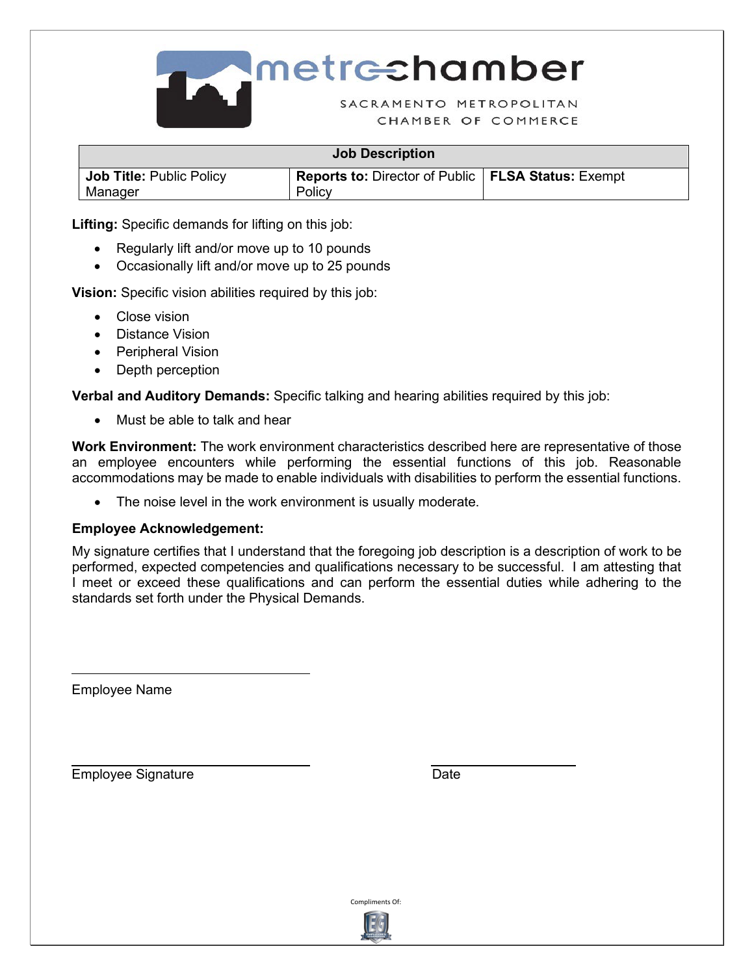

| <b>Job Description</b>                     |                                                                |  |  |
|--------------------------------------------|----------------------------------------------------------------|--|--|
| <b>Job Title: Public Policy</b><br>Manager | Reports to: Director of Public   FLSA Status: Exempt<br>Policy |  |  |

**Lifting:** Specific demands for lifting on this job:

- Regularly lift and/or move up to 10 pounds
- Occasionally lift and/or move up to 25 pounds

**Vision:** Specific vision abilities required by this job:

- Close vision
- Distance Vision
- Peripheral Vision
- Depth perception

**Verbal and Auditory Demands:** Specific talking and hearing abilities required by this job:

• Must be able to talk and hear

**Work Environment:** The work environment characteristics described here are representative of those an employee encounters while performing the essential functions of this job. Reasonable accommodations may be made to enable individuals with disabilities to perform the essential functions.

• The noise level in the work environment is usually moderate.

## **Employee Acknowledgement:**

My signature certifies that I understand that the foregoing job description is a description of work to be performed, expected competencies and qualifications necessary to be successful. I am attesting that I meet or exceed these qualifications and can perform the essential duties while adhering to the standards set forth under the Physical Demands.

Employee Name

 $\overline{a}$ 

Employee Signature **Date** Date



\s2\ \d2\